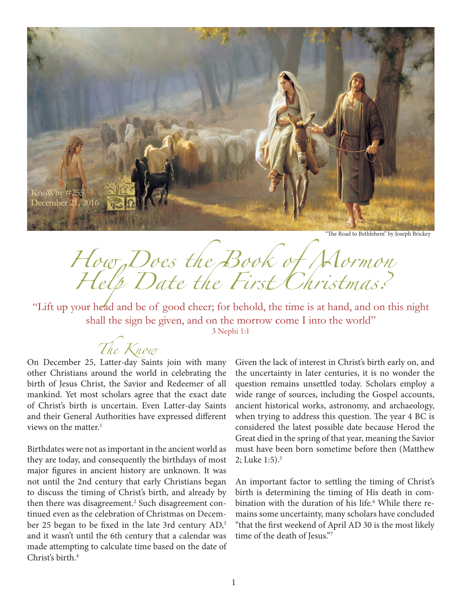

"The Road to Bethlehem" by Joseph Brickey

*How Does the Book of Mormon Help Date the First Christmas?*

"Lift up your head and be of good cheer; for behold, the time is at hand, and on this night shall the sign be given, and on the morrow come I into the world" 3 Nephi 1:1

*The Know*

On December 25, Latter-day Saints join with many other Christians around the world in celebrating the birth of Jesus Christ, the Savior and Redeemer of all mankind. Yet most scholars agree that the exact date of Christ's birth is uncertain. Even Latter-day Saints and their General Authorities have expressed different views on the matter.<sup>1</sup>

Birthdates were not as important in the ancient world as they are today, and consequently the birthdays of most major figures in ancient history are unknown. It was not until the 2nd century that early Christians began to discuss the timing of Christ's birth, and already by then there was disagreement.<sup>2</sup> Such disagreement continued even as the celebration of Christmas on December 25 began to be fixed in the late 3rd century AD,<sup>3</sup> and it wasn't until the 6th century that a calendar was made attempting to calculate time based on the date of Christ's birth.4

Given the lack of interest in Christ's birth early on, and the uncertainty in later centuries, it is no wonder the question remains unsettled today. Scholars employ a wide range of sources, including the Gospel accounts, ancient historical works, astronomy, and archaeology, when trying to address this question. The year 4 BC is considered the latest possible date because Herod the Great died in the spring of that year, meaning the Savior must have been born sometime before then (Matthew 2; Luke  $1:5$ ).<sup>5</sup>

An important factor to settling the timing of Christ's birth is determining the timing of His death in combination with the duration of his life.<sup>6</sup> While there remains some uncertainty, many scholars have concluded "that the first weekend of April AD 30 is the most likely time of the death of Jesus."7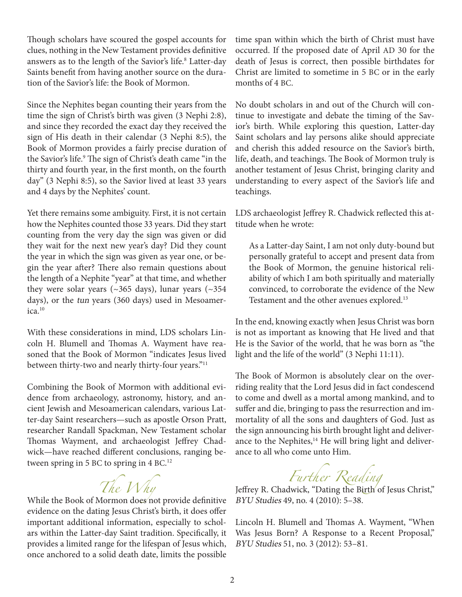Though scholars have scoured the gospel accounts for clues, nothing in the New Testament provides definitive answers as to the length of the Savior's life.<sup>8</sup> Latter-day Saints benefit from having another source on the duration of the Savior's life: the Book of Mormon.

Since the Nephites began counting their years from the time the sign of Christ's birth was given (3 Nephi 2:8), and since they recorded the exact day they received the sign of His death in their calendar (3 Nephi 8:5), the Book of Mormon provides a fairly precise duration of the Savior's life.9 The sign of Christ's death came "in the thirty and fourth year, in the first month, on the fourth day" (3 Nephi 8:5), so the Savior lived at least 33 years and 4 days by the Nephites' count.

Yet there remains some ambiguity. First, it is not certain how the Nephites counted those 33 years. Did they start counting from the very day the sign was given or did they wait for the next new year's day? Did they count the year in which the sign was given as year one, or begin the year after? There also remain questions about the length of a Nephite "year" at that time, and whether they were solar years ( $\sim$ 365 days), lunar years ( $\sim$ 354 days), or the tun years (360 days) used in Mesoamerica.<sup>10</sup>

With these considerations in mind, LDS scholars Lincoln H. Blumell and Thomas A. Wayment have reasoned that the Book of Mormon "indicates Jesus lived between thirty-two and nearly thirty-four years."<sup>11</sup>

Combining the Book of Mormon with additional evidence from archaeology, astronomy, history, and ancient Jewish and Mesoamerican calendars, various Latter-day Saint researchers—such as apostle Orson Pratt, researcher Randall Spackman, New Testament scholar Thomas Wayment, and archaeologist Jeffrey Chadwick—have reached different conclusions, ranging between spring in 5 BC to spring in 4 BC.<sup>12</sup>

## *The Why*

While the Book of Mormon does not provide definitive evidence on the dating Jesus Christ's birth, it does offer important additional information, especially to scholars within the Latter-day Saint tradition. Specifically, it provides a limited range for the lifespan of Jesus which, once anchored to a solid death date, limits the possible

time span within which the birth of Christ must have occurred. If the proposed date of April AD 30 for the death of Jesus is correct, then possible birthdates for Christ are limited to sometime in 5 BC or in the early months of 4 BC.

No doubt scholars in and out of the Church will continue to investigate and debate the timing of the Savior's birth. While exploring this question, Latter-day Saint scholars and lay persons alike should appreciate and cherish this added resource on the Savior's birth, life, death, and teachings. The Book of Mormon truly is another testament of Jesus Christ, bringing clarity and understanding to every aspect of the Savior's life and teachings.

LDS archaeologist Jeffrey R. Chadwick reflected this attitude when he wrote:

As a Latter-day Saint, I am not only duty-bound but personally grateful to accept and present data from the Book of Mormon, the genuine historical reliability of which I am both spiritually and materially convinced, to corroborate the evidence of the New Testament and the other avenues explored.<sup>13</sup>

In the end, knowing exactly when Jesus Christ was born is not as important as knowing that He lived and that He is the Savior of the world, that he was born as "the light and the life of the world" (3 Nephi 11:11).

The Book of Mormon is absolutely clear on the overriding reality that the Lord Jesus did in fact condescend to come and dwell as a mortal among mankind, and to suffer and die, bringing to pass the resurrection and immortality of all the sons and daughters of God. Just as the sign announcing his birth brought light and deliverance to the Nephites,<sup>14</sup> He will bring light and deliverance to all who come unto Him.

*Further Reading* Jeffrey R. Chadwick, "Dating the Birth of Jesus Christ," BYU Studies 49, no. 4 (2010): 5–38.

Lincoln H. Blumell and Thomas A. Wayment, "When Was Jesus Born? A Response to a Recent Proposal," BYU Studies 51, no. 3 (2012): 53–81.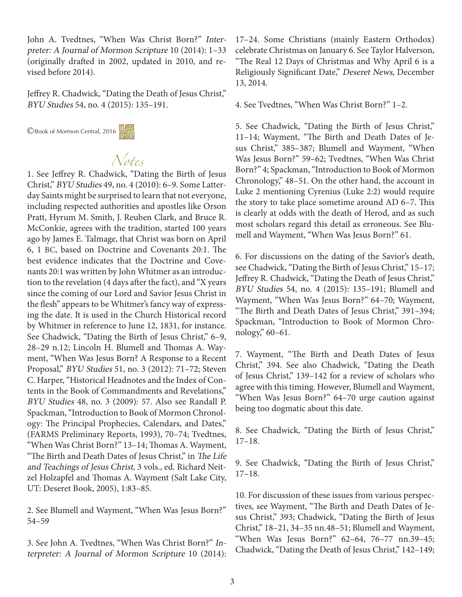John A. Tvedtnes, "When Was Christ Born?" Interpreter: A Journal of Mormon Scripture 10 (2014): 1–33 (originally drafted in 2002, updated in 2010, and revised before 2014).

Jeffrey R. Chadwick, "Dating the Death of Jesus Christ," BYU Studies 54, no. 4 (2015): 135–191.

©Book of Mormon Central, 2016



## *Notes*

1. See Jeffrey R. Chadwick, "Dating the Birth of Jesus Christ," BYU Studies 49, no. 4 (2010): 6–9. Some Latterday Saints might be surprised to learn that not everyone, including respected authorities and apostles like Orson Pratt, Hyrum M. Smith, J. Reuben Clark, and Bruce R. McConkie, agrees with the tradition, started 100 years ago by James E. Talmage, that Christ was born on April 6, 1 BC, based on Doctrine and Covenants 20:1. The best evidence indicates that the Doctrine and Covenants 20:1 was written by John Whitmer as an introduction to the revelation (4 days after the fact), and "X years since the coming of our Lord and Savior Jesus Christ in the flesh" appears to be Whitmer's fancy way of expressing the date. It is used in the Church Historical record by Whitmer in reference to June 12, 1831, for instance. See Chadwick, "Dating the Birth of Jesus Christ," 6–9, 28–29 n.12; Lincoln H. Blumell and Thomas A. Wayment, "When Was Jesus Born? A Response to a Recent Proposal," BYU Studies 51, no. 3 (2012): 71–72; Steven C. Harper, "Historical Headnotes and the Index of Contents in the Book of Commandments and Revelations," BYU Studies 48, no. 3 (2009): 57. Also see Randall P. Spackman, "Introduction to Book of Mormon Chronology: The Principal Prophecies, Calendars, and Dates," (FARMS Preliminary Reports, 1993), 70–74; Tvedtnes, "When Was Christ Born?" 13–14; Thomas A. Wayment, "The Birth and Death Dates of Jesus Christ," in The Life and Teachings of Jesus Christ, 3 vols., ed. Richard Neitzel Holzapfel and Thomas A. Wayment (Salt Lake City, UT: Deseret Book, 2005), 1:83–85.

2. See Blumell and Wayment, "When Was Jesus Born?" 54–59

3. See John A. Tvedtnes, "When Was Christ Born?" Interpreter: A Journal of Mormon Scripture 10 (2014): 17–24. Some Christians (mainly Eastern Orthodox) celebrate Christmas on January 6. See Taylor Halverson, "The Real 12 Days of Christmas and Why April 6 is a Religiously Significant Date," Deseret News, December 13, 2014.

4. See Tvedtnes, "When Was Christ Born?" 1–2.

5. See Chadwick, "Dating the Birth of Jesus Christ," 11–14; Wayment, "The Birth and Death Dates of Jesus Christ," 385–387; Blumell and Wayment, "When Was Jesus Born?" 59–62; Tvedtnes, "When Was Christ Born?" 4; Spackman, "Introduction to Book of Mormon Chronology," 48–51. On the other hand, the account in Luke 2 mentioning Cyrenius (Luke 2:2) would require the story to take place sometime around AD 6–7. This is clearly at odds with the death of Herod, and as such most scholars regard this detail as erroneous. See Blumell and Wayment, "When Was Jesus Born?" 61.

6. For discussions on the dating of the Savior's death, see Chadwick, "Dating the Birth of Jesus Christ," 15-17; Jeffrey R. Chadwick, "Dating the Death of Jesus Christ," BYU Studies 54, no. 4 (2015): 135–191; Blumell and Wayment, "When Was Jesus Born?" 64–70; Wayment, "The Birth and Death Dates of Jesus Christ," 391–394; Spackman, "Introduction to Book of Mormon Chronology," 60–61.

7. Wayment, "The Birth and Death Dates of Jesus Christ," 394. See also Chadwick, "Dating the Death of Jesus Christ," 139–142 for a review of scholars who agree with this timing. However, Blumell and Wayment, "When Was Jesus Born?" 64–70 urge caution against being too dogmatic about this date.

8. See Chadwick, "Dating the Birth of Jesus Christ," 17–18.

9. See Chadwick, "Dating the Birth of Jesus Christ," 17–18.

10. For discussion of these issues from various perspectives, see Wayment, "The Birth and Death Dates of Jesus Christ," 393; Chadwick, "Dating the Birth of Jesus Christ," 18–21, 34–35 nn.48–51; Blumell and Wayment, "When Was Jesus Born?" 62–64, 76–77 nn.39–45; Chadwick, "Dating the Death of Jesus Christ," 142–149;